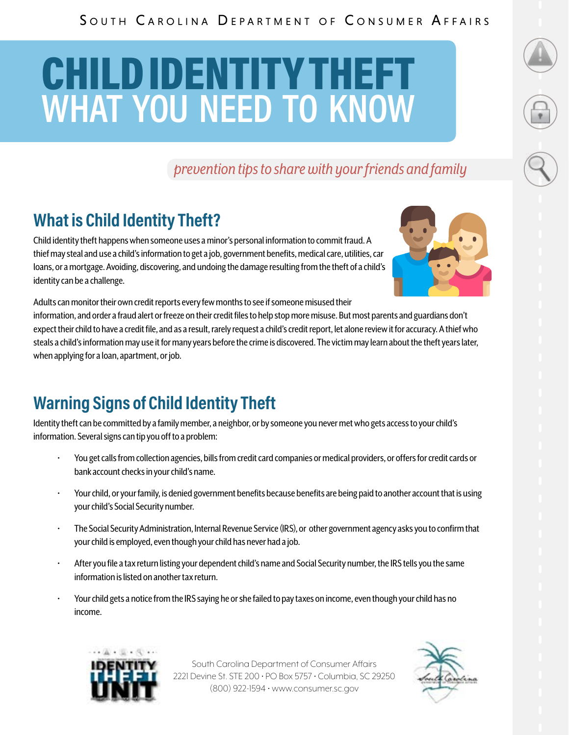### SOUTH CAROLINA DEPARTMENT OF CONSUMER AFFAIRS

# CHILD IDENTITY THEFT **WHAT YOU NEED TO KNOW**

*prevention tips to share with your friends and family*

## **What is Child Identity Theft?**

Child identity theft happens when someone uses a minor's personal information to commit fraud. A thief may steal and use a child's information to get a job, government benefits, medical care, utilities, car loans, or a mortgage. Avoiding, discovering, and undoing the damage resulting from the theft of a child's identity can be a challenge.



Adults can monitor their own credit reports every few months to see if someone misused their information, and order a fraud alert or freeze on their credit files to help stop more misuse. But most parents and guardians don't expect their child to have a credit file, and as a result, rarely request a child's credit report, let alone review it for accuracy. A thief who steals a child's information may use it for many years before the crime is discovered. The victim may learn about the theft years later, when applying for a loan, apartment, or job.

### **Warning Signs of Child Identity Theft**

Identity theft can be committed by a family member, a neighbor, or by someone you never met who gets access to your child's information. Several signs can tip you off to a problem:

- You get calls from collection agencies, bills from credit card companies or medical providers, or offers for credit cards or bank account checks in your child's name.
- Your child, or your family, is denied government benefits because benefits are being paid to another account that is using your child's Social Security number.
- The Social Security Administration, Internal Revenue Service (IRS), or other government agency asks you to confirm that your child is employed, even though your child has never had a job.
- After you file a tax return listing your dependent child's name and Social Security number, the IRS tells you the same information is listed on another tax return.
- Your child gets a notice from the IRS saying he or she failed to pay taxes on income, even though your child has no income.



South Carolina Department of Consumer Affairs 2221 Devine St. STE 200 • PO Box 5757 • Columbia, SC 29250 (800) 922-1594 • www.consumer.sc.gov